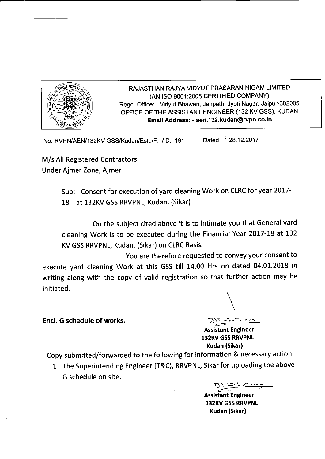

RAJASTHAN RAJYA VIDYUT PRASARAN NIGAM LIMITED (AN ISO 9001:2008 CERTIFIED COMPANY) Regd. Office: - Vidyut Bhawan, Janpath, Jyoti Nagar, Jaipur-302005 OFFICE OF THE ASSISTANT ENGINEER (132 KV GSS), KUDAN Email Address: - aen.132.kudan@rvpn.co.in

No. RVPN/AEN/132KV GSS/Kudan/Estt./F. ./ D. <sup>191</sup> Dated 28.12.2017

M/s All Registered Contractors Under Ajmer Zone, Ajmer

> Sub: - Consent for execution of yard cleaning Work on CLRC for year 2017- 18 at 132KV GSS RRVPNL, Kudan. (Sikar)

On the subject cited above it is to intimate you that General yard cleaning Work is to be executed during the Financial Year 2017-18 at <sup>132</sup> KV GSS RRVPNL, Kudan. (Sikar) on CLRC Basis.

You are therefore requested to convey your consent to execute yard cleaning Work at this GSS till 14.00 Hrs on dated 04.01.2018 in writing along with the copy of valid registration so that further action may be initiated.

Encl. G schedule of works.

 $\setminus$ 

Assistant Engineer 132KV GSS RRVPNL Kudan (Sikar)

Copy submitted/forwarded to the following for information & necessary action.

1. The Superintending Engineer (T&C), RRVPNL, Sikar for uploading the above G schedule on site.

arcatomy<br>....

Assistant Engineer 132KV GSS RRVPNL Kudan (Sikar)